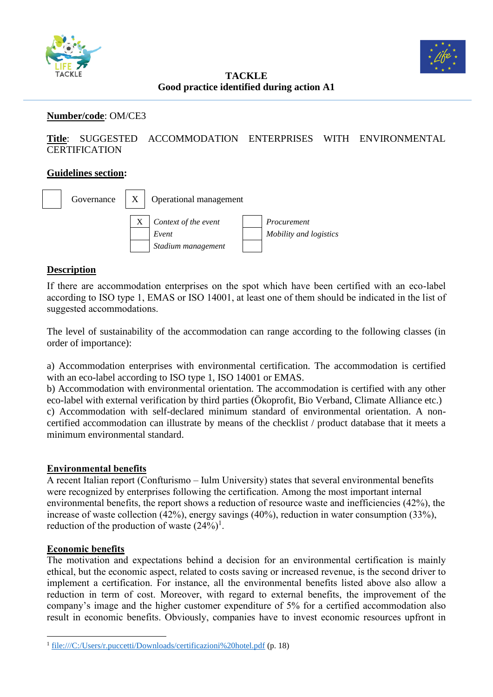



**TACKLE Good practice identified during action A1**

#### **Number/code**: OM/CE3

**Title**: SUGGESTED ACCOMMODATION ENTERPRISES WITH ENVIRONMENTAL **CERTIFICATION** 

#### **Guidelines section:**



### **Description**

If there are accommodation enterprises on the spot which have been certified with an eco-label according to ISO type 1, EMAS or ISO 14001, at least one of them should be indicated in the list of suggested accommodations.

The level of sustainability of the accommodation can range according to the following classes (in order of importance):

a) Accommodation enterprises with environmental certification. The accommodation is certified with an eco-label according to ISO type 1, ISO 14001 or EMAS.

b) Accommodation with environmental orientation. The accommodation is certified with any other eco-label with external verification by third parties (Ökoprofit, Bio Verband, Climate Alliance etc.) c) Accommodation with self-declared minimum standard of environmental orientation. A noncertified accommodation can illustrate by means of the checklist / product database that it meets a minimum environmental standard.

#### **Environmental benefits**

A recent Italian report (Confturismo – Iulm University) states that several environmental benefits were recognized by enterprises following the certification. Among the most important internal environmental benefits, the report shows a reduction of resource waste and inefficiencies (42%), the increase of waste collection (42%), energy savings (40%), reduction in water consumption (33%), reduction of the production of waste  $(24%)^1$ .

#### **Economic benefits**

The motivation and expectations behind a decision for an environmental certification is mainly ethical, but the economic aspect, related to costs saving or increased revenue, is the second driver to implement a certification. For instance, all the environmental benefits listed above also allow a reduction in term of cost. Moreover, with regard to external benefits, the improvement of the company's image and the higher customer expenditure of 5% for a certified accommodation also result in economic benefits. Obviously, companies have to invest economic resources upfront in

<sup>&</sup>lt;sup>1</sup> <file:///C:/Users/r.puccetti/Downloads/certificazioni%20hotel.pdf> (p. 18)